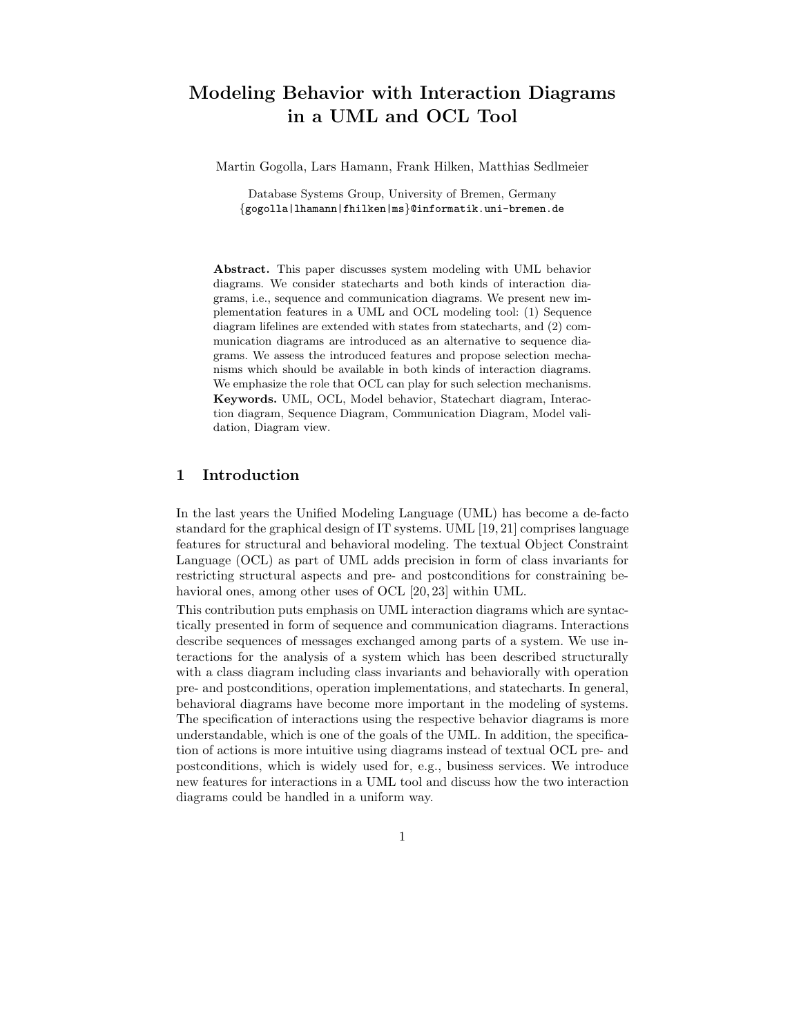# **Modeling Behavior with Interaction Diagrams in a UML and OCL Tool**

Martin Gogolla, Lars Hamann, Frank Hilken, Matthias Sedlmeier

Database Systems Group, University of Bremen, Germany *{*gogolla|lhamann|fhilken|ms*}*@informatik.uni-bremen.de

**Abstract.** This paper discusses system modeling with UML behavior diagrams. We consider statecharts and both kinds of interaction diagrams, i.e., sequence and communication diagrams. We present new implementation features in a UML and OCL modeling tool: (1) Sequence diagram lifelines are extended with states from statecharts, and (2) communication diagrams are introduced as an alternative to sequence diagrams. We assess the introduced features and propose selection mechanisms which should be available in both kinds of interaction diagrams. We emphasize the role that OCL can play for such selection mechanisms. **Keywords.** UML, OCL, Model behavior, Statechart diagram, Interaction diagram, Sequence Diagram, Communication Diagram, Model validation, Diagram view.

#### **1 Introduction**

In the last years the Unified Modeling Language (UML) has become a de-facto standard for the graphical design of IT systems. UML [19, 21] comprises language features for structural and behavioral modeling. The textual Object Constraint Language (OCL) as part of UML adds precision in form of class invariants for restricting structural aspects and pre- and postconditions for constraining behavioral ones, among other uses of OCL [20, 23] within UML.

This contribution puts emphasis on UML interaction diagrams which are syntactically presented in form of sequence and communication diagrams. Interactions describe sequences of messages exchanged among parts of a system. We use interactions for the analysis of a system which has been described structurally with a class diagram including class invariants and behaviorally with operation pre- and postconditions, operation implementations, and statecharts. In general, behavioral diagrams have become more important in the modeling of systems. The specification of interactions using the respective behavior diagrams is more understandable, which is one of the goals of the UML. In addition, the specification of actions is more intuitive using diagrams instead of textual OCL pre- and postconditions, which is widely used for, e.g., business services. We introduce new features for interactions in a UML tool and discuss how the two interaction diagrams could be handled in a uniform way.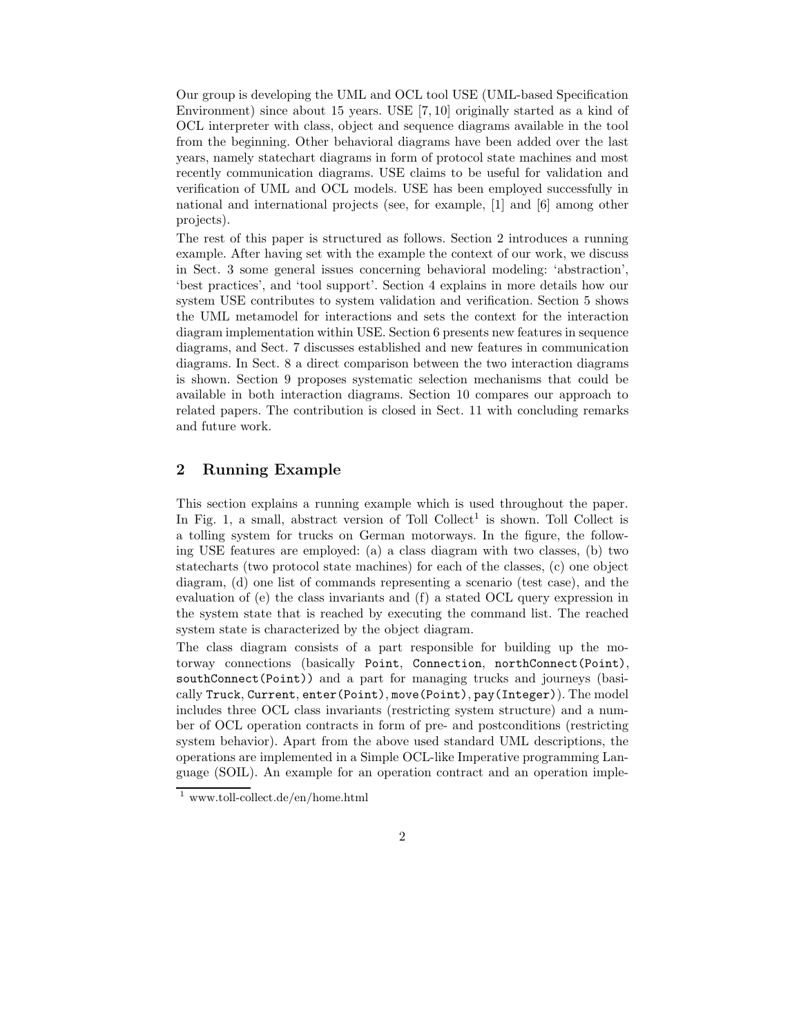Our group is developing the UML and OCL tool USE (UML-based Specification Environment) since about 15 years. USE [7, 10] originally started as a kind of OCL interpreter with class, object and sequence diagrams available in the tool from the beginning. Other behavioral diagrams have been added over the last years, namely statechart diagrams in form of protocol state machines and most recently communication diagrams. USE claims to be useful for validation and verification of UML and OCL models. USE has been employed successfully in national and international projects (see, for example, [1] and [6] among other projects).

The rest of this paper is structured as follows. Section 2 introduces a running example. After having set with the example the context of our work, we discuss in Sect. 3 some general issues concerning behavioral modeling: 'abstraction', 'best practices', and 'tool support'. Section 4 explains in more details how our system USE contributes to system validation and verification. Section 5 shows the UML metamodel for interactions and sets the context for the interaction diagram implementation within USE. Section 6 presents new features in sequence diagrams, and Sect. 7 discusses established and new features in communication diagrams. In Sect. 8 a direct comparison between the two interaction diagrams is shown. Section 9 proposes systematic selection mechanisms that could be available in both interaction diagrams. Section 10 compares our approach to related papers. The contribution is closed in Sect. 11 with concluding remarks and future work.

### **2 Running Example**

This section explains a running example which is used throughout the paper. In Fig. 1, a small, abstract version of Toll Collect<sup>1</sup> is shown. Toll Collect is a tolling system for trucks on German motorways. In the figure, the following USE features are employed: (a) a class diagram with two classes, (b) two statecharts (two protocol state machines) for each of the classes, (c) one object diagram, (d) one list of commands representing a scenario (test case), and the evaluation of (e) the class invariants and (f) a stated OCL query expression in the system state that is reached by executing the command list. The reached system state is characterized by the object diagram.

The class diagram consists of a part responsible for building up the motorway connections (basically Point, Connection, northConnect(Point), southConnect(Point)) and a part for managing trucks and journeys (basically Truck, Current, enter(Point), move(Point), pay(Integer)). The model includes three OCL class invariants (restricting system structure) and a number of OCL operation contracts in form of pre- and postconditions (restricting system behavior). Apart from the above used standard UML descriptions, the operations are implemented in a Simple OCL-like Imperative programming Language (SOIL). An example for an operation contract and an operation imple-

 $1$  www.toll-collect.de/en/home.html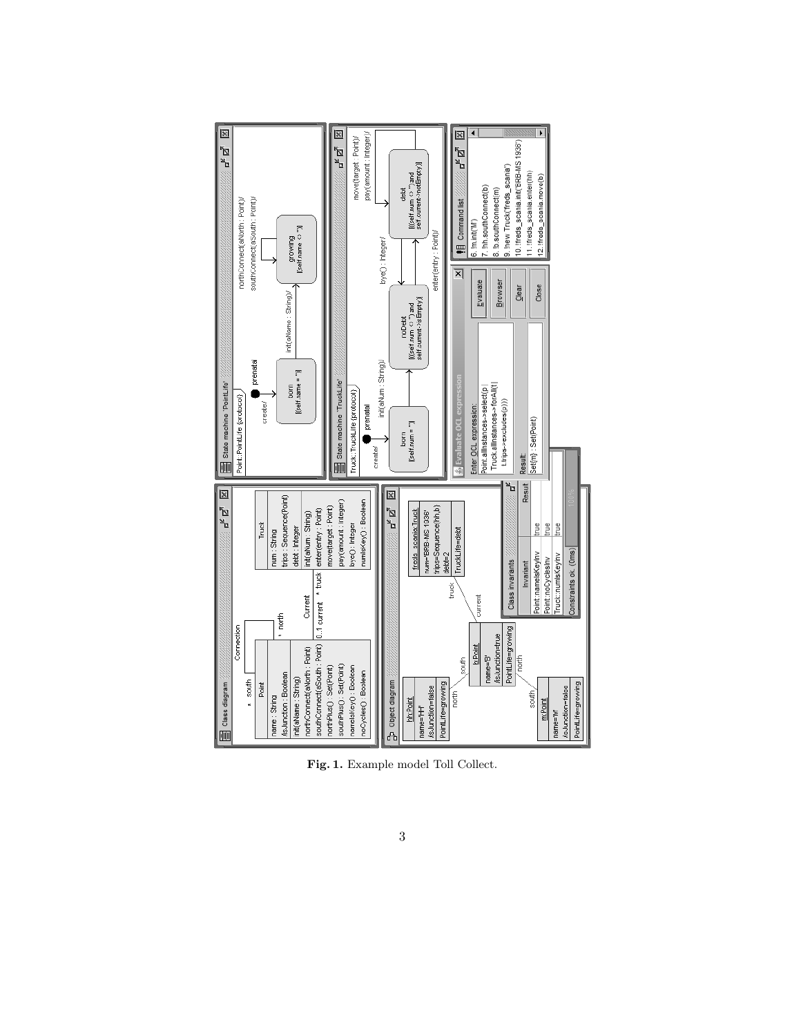

**Fig. 1.** Example model Toll Collect.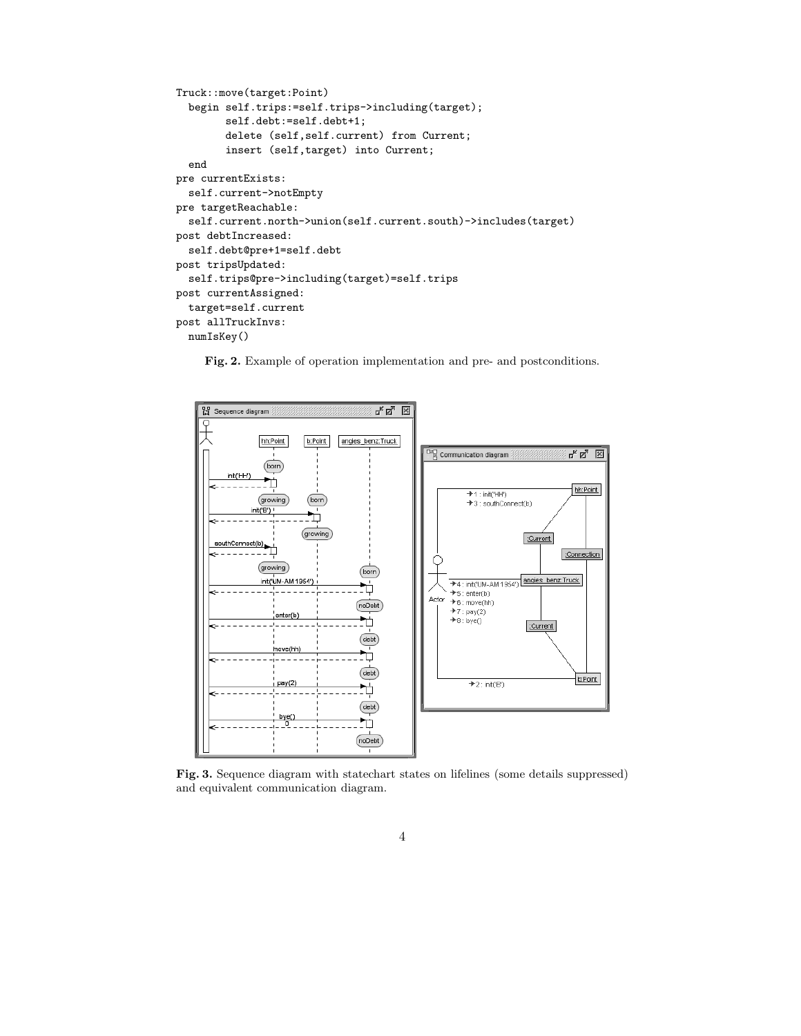```
Truck::move(target:Point)
  begin self.trips:=self.trips->including(target);
        self.debt:=self.debt+1;
        delete (self,self.current) from Current;
        insert (self,target) into Current;
  end
pre currentExists:
  self.current->notEmpty
pre targetReachable:
  self.current.north->union(self.current.south)->includes(target)
post debtIncreased:
  self.debt@pre+1=self.debt
post tripsUpdated:
  self.trips@pre->including(target)=self.trips
post currentAssigned:
  target=self.current
post allTruckInvs:
 numIsKey()
```
**Fig. 2.** Example of operation implementation and pre- and postconditions.



**Fig. 3.** Sequence diagram with statechart states on lifelines (some details suppressed) and equivalent communication diagram.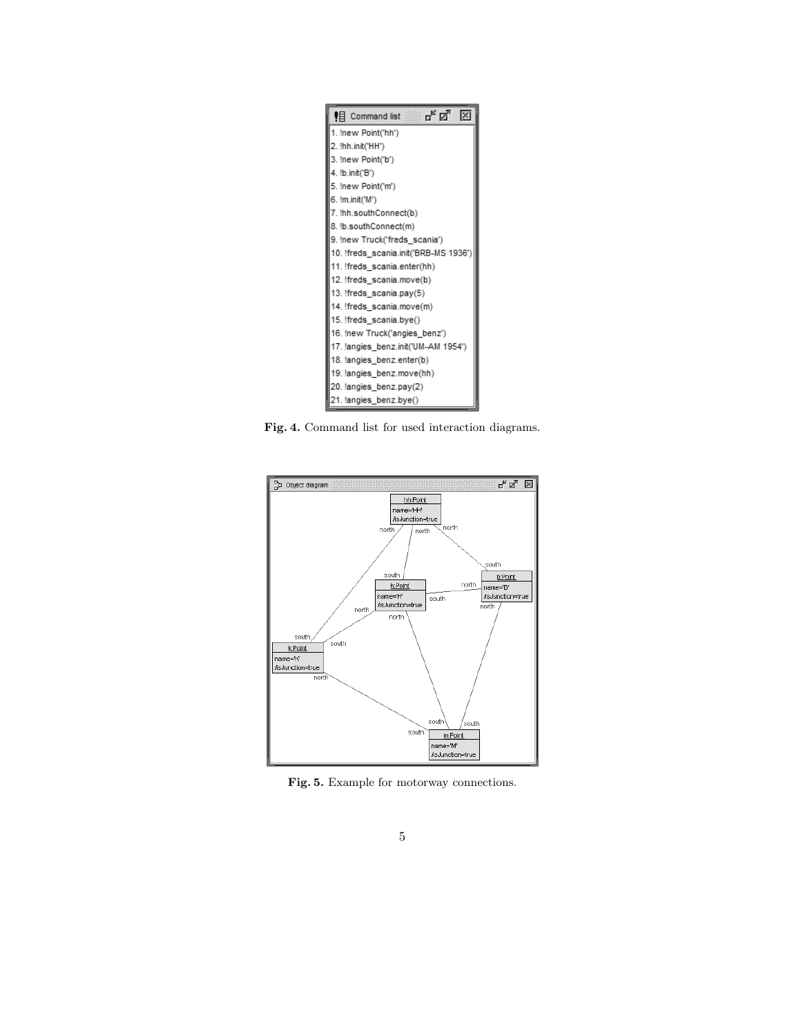

**Fig. 4.** Command list for used interaction diagrams.



**Fig. 5.** Example for motorway connections.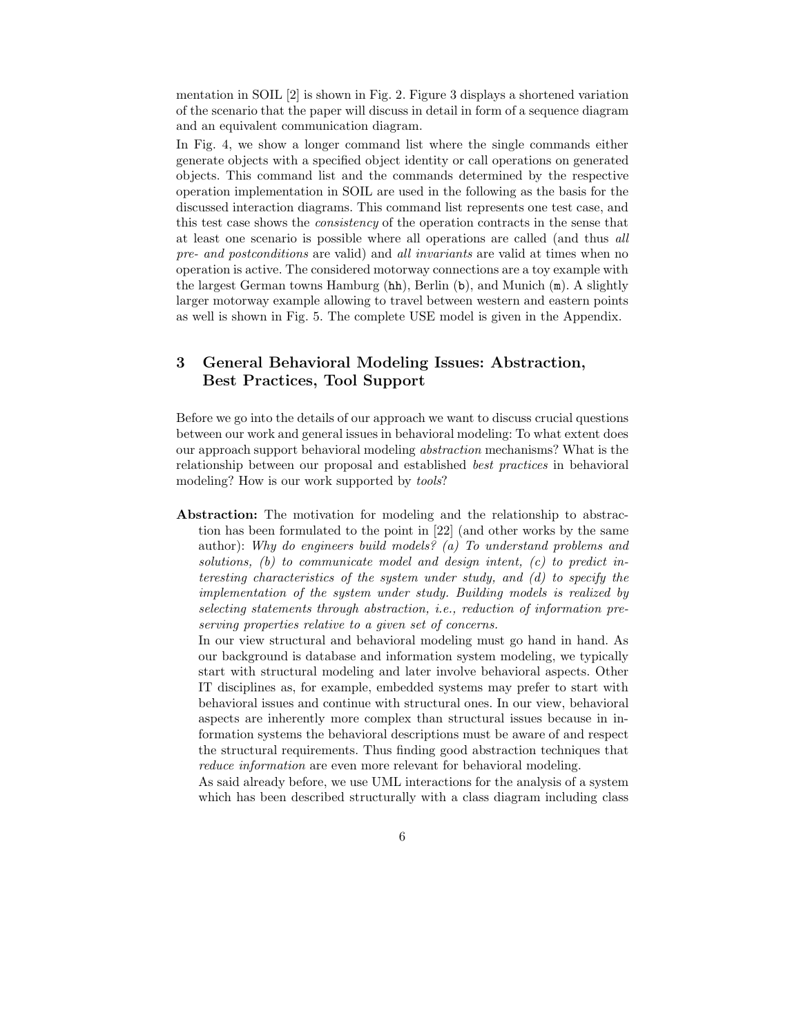mentation in SOIL [2] is shown in Fig. 2. Figure 3 displays a shortened variation of the scenario that the paper will discuss in detail in form of a sequence diagram and an equivalent communication diagram.

In Fig. 4, we show a longer command list where the single commands either generate objects with a specified object identity or call operations on generated objects. This command list and the commands determined by the respective operation implementation in SOIL are used in the following as the basis for the discussed interaction diagrams. This command list represents one test case, and this test case shows the *consistency* of the operation contracts in the sense that at least one scenario is possible where all operations are called (and thus *all pre- and postconditions* are valid) and *all invariants* are valid at times when no operation is active. The considered motorway connections are a toy example with the largest German towns Hamburg (hh), Berlin (b), and Munich (m). A slightly larger motorway example allowing to travel between western and eastern points as well is shown in Fig. 5. The complete USE model is given in the Appendix.

# **3 General Behavioral Modeling Issues: Abstraction, Best Practices, Tool Support**

Before we go into the details of our approach we want to discuss crucial questions between our work and general issues in behavioral modeling: To what extent does our approach support behavioral modeling *abstraction* mechanisms? What is the relationship between our proposal and established *best practices* in behavioral modeling? How is our work supported by *tools*?

**Abstraction:** The motivation for modeling and the relationship to abstraction has been formulated to the point in [22] (and other works by the same author): *Why do engineers build models? (a) To understand problems and solutions, (b) to communicate model and design intent, (c) to predict interesting characteristics of the system under study, and (d) to specify the implementation of the system under study. Building models is realized by selecting statements through abstraction, i.e., reduction of information preserving properties relative to a given set of concerns.*

In our view structural and behavioral modeling must go hand in hand. As our background is database and information system modeling, we typically start with structural modeling and later involve behavioral aspects. Other IT disciplines as, for example, embedded systems may prefer to start with behavioral issues and continue with structural ones. In our view, behavioral aspects are inherently more complex than structural issues because in information systems the behavioral descriptions must be aware of and respect the structural requirements. Thus finding good abstraction techniques that *reduce information* are even more relevant for behavioral modeling.

As said already before, we use UML interactions for the analysis of a system which has been described structurally with a class diagram including class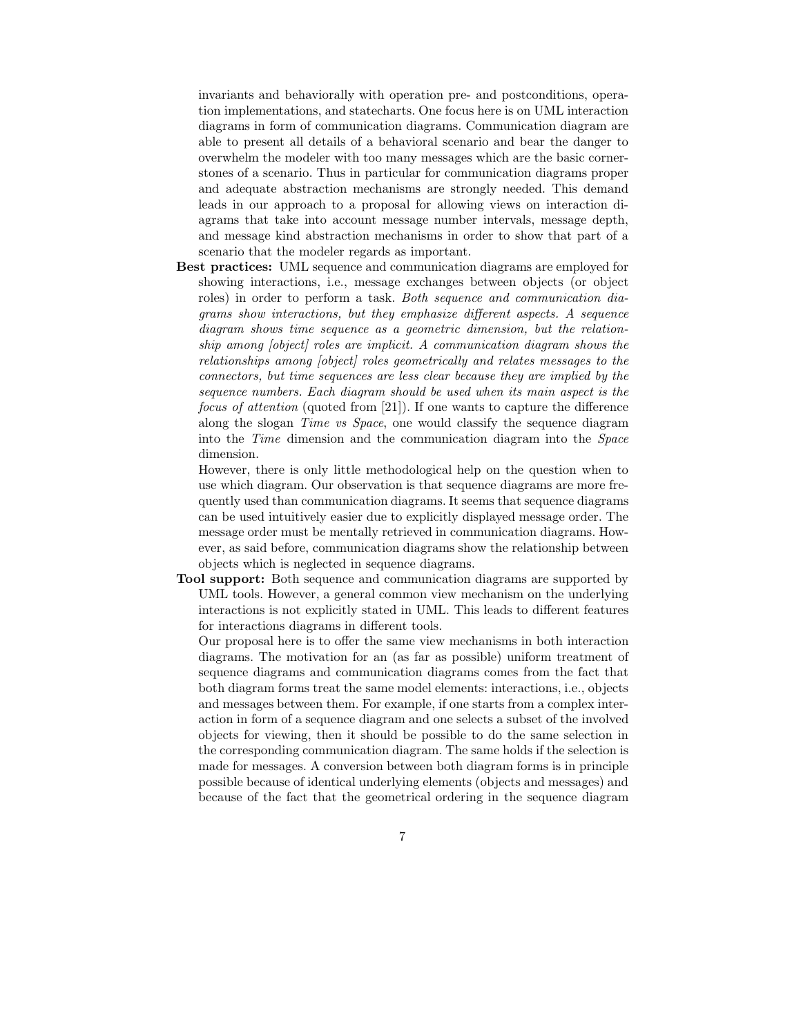invariants and behaviorally with operation pre- and postconditions, operation implementations, and statecharts. One focus here is on UML interaction diagrams in form of communication diagrams. Communication diagram are able to present all details of a behavioral scenario and bear the danger to overwhelm the modeler with too many messages which are the basic cornerstones of a scenario. Thus in particular for communication diagrams proper and adequate abstraction mechanisms are strongly needed. This demand leads in our approach to a proposal for allowing views on interaction diagrams that take into account message number intervals, message depth, and message kind abstraction mechanisms in order to show that part of a scenario that the modeler regards as important.

**Best practices:** UML sequence and communication diagrams are employed for showing interactions, i.e., message exchanges between objects (or object roles) in order to perform a task. *Both sequence and communication diagrams show interactions, but they emphasize different aspects. A sequence diagram shows time sequence as a geometric dimension, but the relationship among [object] roles are implicit. A communication diagram shows the relationships among [object] roles geometrically and relates messages to the connectors, but time sequences are less clear because they are implied by the sequence numbers. Each diagram should be used when its main aspect is the focus of attention* (quoted from [21]). If one wants to capture the difference along the slogan *Time vs Space*, one would classify the sequence diagram into the *Time* dimension and the communication diagram into the *Space* dimension.

However, there is only little methodological help on the question when to use which diagram. Our observation is that sequence diagrams are more frequently used than communication diagrams. It seems that sequence diagrams can be used intuitively easier due to explicitly displayed message order. The message order must be mentally retrieved in communication diagrams. However, as said before, communication diagrams show the relationship between objects which is neglected in sequence diagrams.

**Tool support:** Both sequence and communication diagrams are supported by UML tools. However, a general common view mechanism on the underlying interactions is not explicitly stated in UML. This leads to different features for interactions diagrams in different tools.

Our proposal here is to offer the same view mechanisms in both interaction diagrams. The motivation for an (as far as possible) uniform treatment of sequence diagrams and communication diagrams comes from the fact that both diagram forms treat the same model elements: interactions, i.e., objects and messages between them. For example, if one starts from a complex interaction in form of a sequence diagram and one selects a subset of the involved objects for viewing, then it should be possible to do the same selection in the corresponding communication diagram. The same holds if the selection is made for messages. A conversion between both diagram forms is in principle possible because of identical underlying elements (objects and messages) and because of the fact that the geometrical ordering in the sequence diagram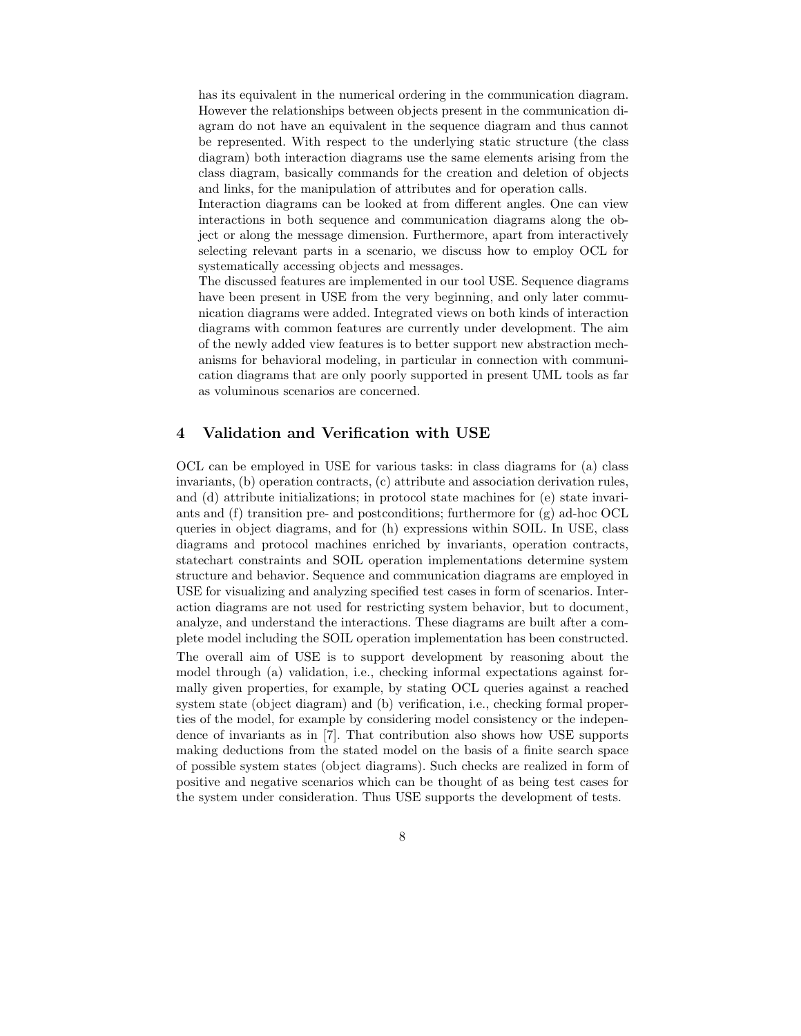has its equivalent in the numerical ordering in the communication diagram. However the relationships between objects present in the communication diagram do not have an equivalent in the sequence diagram and thus cannot be represented. With respect to the underlying static structure (the class diagram) both interaction diagrams use the same elements arising from the class diagram, basically commands for the creation and deletion of objects and links, for the manipulation of attributes and for operation calls.

Interaction diagrams can be looked at from different angles. One can view interactions in both sequence and communication diagrams along the object or along the message dimension. Furthermore, apart from interactively selecting relevant parts in a scenario, we discuss how to employ OCL for systematically accessing objects and messages.

The discussed features are implemented in our tool USE. Sequence diagrams have been present in USE from the very beginning, and only later communication diagrams were added. Integrated views on both kinds of interaction diagrams with common features are currently under development. The aim of the newly added view features is to better support new abstraction mechanisms for behavioral modeling, in particular in connection with communication diagrams that are only poorly supported in present UML tools as far as voluminous scenarios are concerned.

### **4 Validation and Verification with USE**

OCL can be employed in USE for various tasks: in class diagrams for (a) class invariants, (b) operation contracts, (c) attribute and association derivation rules, and (d) attribute initializations; in protocol state machines for (e) state invariants and (f) transition pre- and postconditions; furthermore for  $(g)$  ad-hoc OCL queries in object diagrams, and for (h) expressions within SOIL. In USE, class diagrams and protocol machines enriched by invariants, operation contracts, statechart constraints and SOIL operation implementations determine system structure and behavior. Sequence and communication diagrams are employed in USE for visualizing and analyzing specified test cases in form of scenarios. Interaction diagrams are not used for restricting system behavior, but to document, analyze, and understand the interactions. These diagrams are built after a complete model including the SOIL operation implementation has been constructed. The overall aim of USE is to support development by reasoning about the model through (a) validation, i.e., checking informal expectations against formally given properties, for example, by stating OCL queries against a reached system state (object diagram) and (b) verification, i.e., checking formal properties of the model, for example by considering model consistency or the independence of invariants as in [7]. That contribution also shows how USE supports making deductions from the stated model on the basis of a finite search space of possible system states (object diagrams). Such checks are realized in form of positive and negative scenarios which can be thought of as being test cases for the system under consideration. Thus USE supports the development of tests.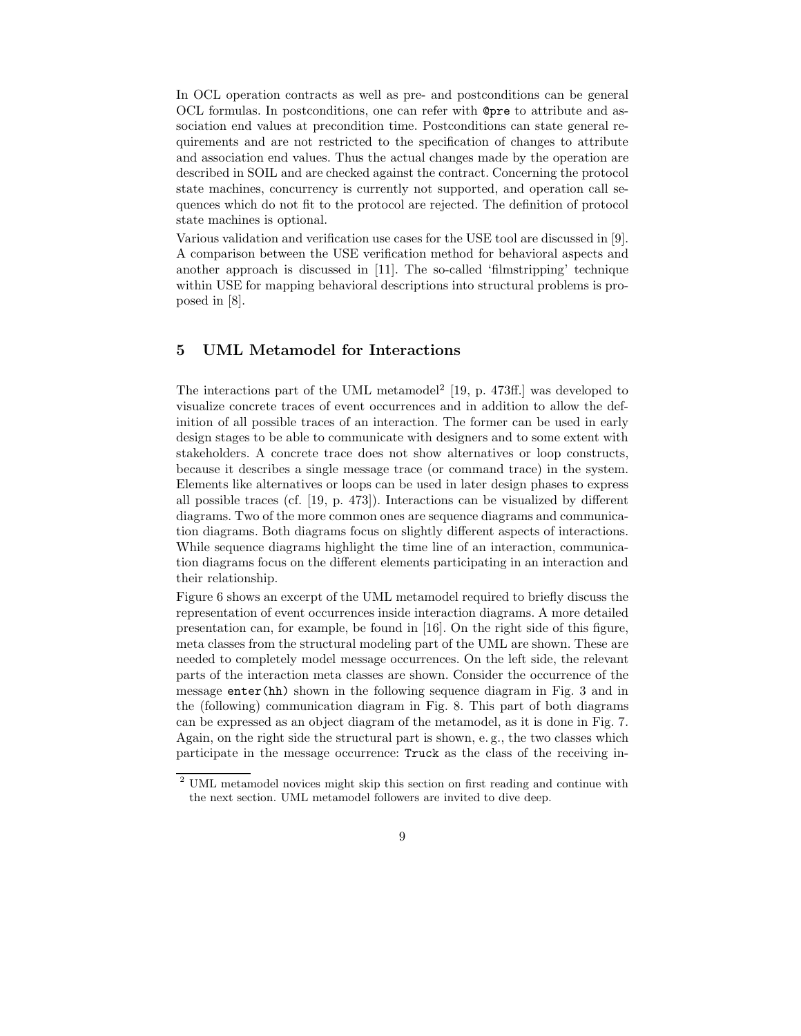In OCL operation contracts as well as pre- and postconditions can be general OCL formulas. In postconditions, one can refer with @pre to attribute and association end values at precondition time. Postconditions can state general requirements and are not restricted to the specification of changes to attribute and association end values. Thus the actual changes made by the operation are described in SOIL and are checked against the contract. Concerning the protocol state machines, concurrency is currently not supported, and operation call sequences which do not fit to the protocol are rejected. The definition of protocol state machines is optional.

Various validation and verification use cases for the USE tool are discussed in [9]. A comparison between the USE verification method for behavioral aspects and another approach is discussed in [11]. The so-called 'filmstripping' technique within USE for mapping behavioral descriptions into structural problems is proposed in [8].

### **5 UML Metamodel for Interactions**

The interactions part of the UML metamodel<sup>2</sup> [19, p. 473ff.] was developed to visualize concrete traces of event occurrences and in addition to allow the definition of all possible traces of an interaction. The former can be used in early design stages to be able to communicate with designers and to some extent with stakeholders. A concrete trace does not show alternatives or loop constructs, because it describes a single message trace (or command trace) in the system. Elements like alternatives or loops can be used in later design phases to express all possible traces (cf. [19, p. 473]). Interactions can be visualized by different diagrams. Two of the more common ones are sequence diagrams and communication diagrams. Both diagrams focus on slightly different aspects of interactions. While sequence diagrams highlight the time line of an interaction, communication diagrams focus on the different elements participating in an interaction and their relationship.

Figure 6 shows an excerpt of the UML metamodel required to briefly discuss the representation of event occurrences inside interaction diagrams. A more detailed presentation can, for example, be found in [16]. On the right side of this figure, meta classes from the structural modeling part of the UML are shown. These are needed to completely model message occurrences. On the left side, the relevant parts of the interaction meta classes are shown. Consider the occurrence of the message enter(hh) shown in the following sequence diagram in Fig. 3 and in the (following) communication diagram in Fig. 8. This part of both diagrams can be expressed as an object diagram of the metamodel, as it is done in Fig. 7. Again, on the right side the structural part is shown, e. g., the two classes which participate in the message occurrence: Truck as the class of the receiving in-

 $^2$  UML metamodel novices might skip this section on first reading and continue with the next section. UML metamodel followers are invited to dive deep.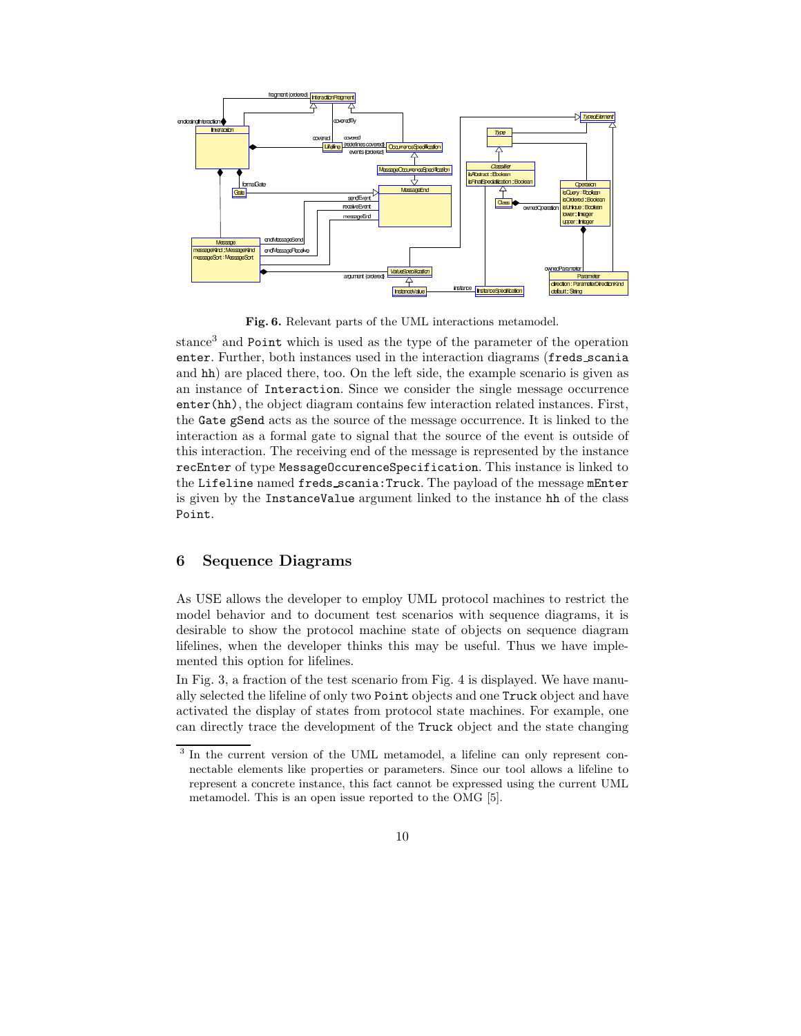

**Fig. 6.** Relevant parts of the UML interactions metamodel.

stance<sup>3</sup> and Point which is used as the type of the parameter of the operation enter. Further, both instances used in the interaction diagrams (freds scania and hh) are placed there, too. On the left side, the example scenario is given as an instance of Interaction. Since we consider the single message occurrence enter(hh), the object diagram contains few interaction related instances. First, the Gate gSend acts as the source of the message occurrence. It is linked to the interaction as a formal gate to signal that the source of the event is outside of this interaction. The receiving end of the message is represented by the instance recEnter of type MessageOccurenceSpecification. This instance is linked to the Lifeline named freds scania:Truck. The payload of the message mEnter is given by the InstanceValue argument linked to the instance hh of the class Point.

#### **6 Sequence Diagrams**

As USE allows the developer to employ UML protocol machines to restrict the model behavior and to document test scenarios with sequence diagrams, it is desirable to show the protocol machine state of objects on sequence diagram lifelines, when the developer thinks this may be useful. Thus we have implemented this option for lifelines.

In Fig. 3, a fraction of the test scenario from Fig. 4 is displayed. We have manually selected the lifeline of only two Point objects and one Truck object and have activated the display of states from protocol state machines. For example, one can directly trace the development of the Truck object and the state changing

<sup>&</sup>lt;sup>3</sup> In the current version of the UML metamodel, a lifeline can only represent connectable elements like properties or parameters. Since our tool allows a lifeline to represent a concrete instance, this fact cannot be expressed using the current UML metamodel. This is an open issue reported to the OMG [5].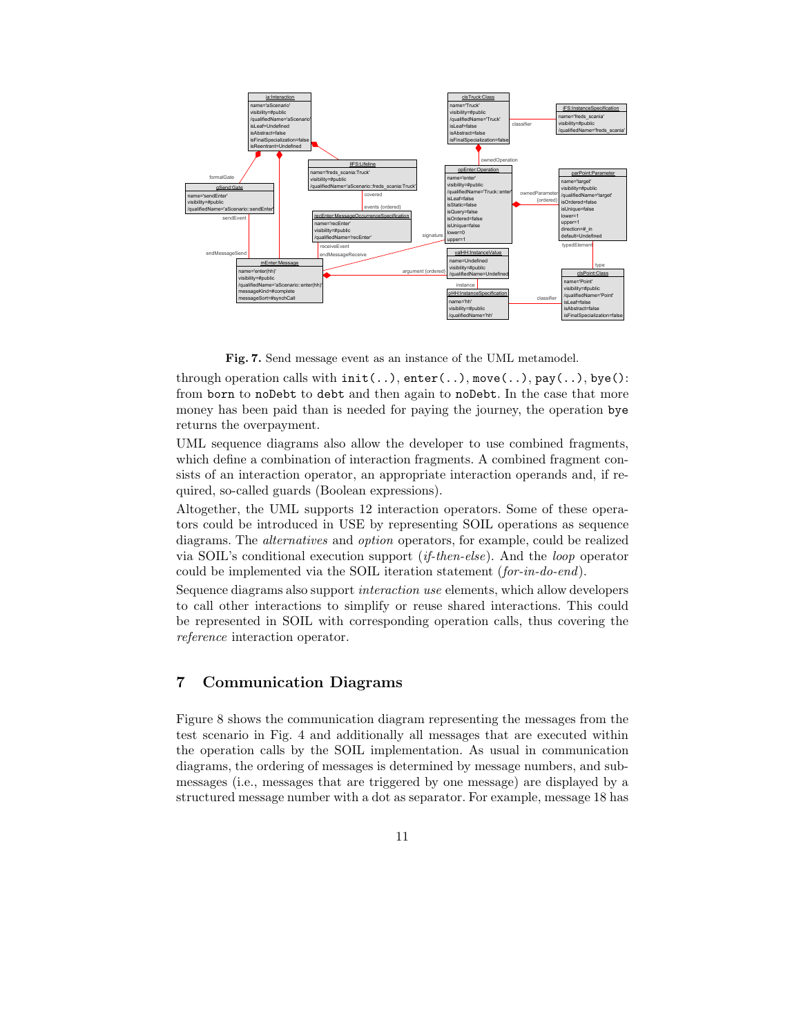

**Fig. 7.** Send message event as an instance of the UML metamodel.

through operation calls with  $init(...)$ , enter(..), move(..), pay(..), bye(): from born to noDebt to debt and then again to noDebt. In the case that more money has been paid than is needed for paying the journey, the operation bye returns the overpayment.

UML sequence diagrams also allow the developer to use combined fragments, which define a combination of interaction fragments. A combined fragment consists of an interaction operator, an appropriate interaction operands and, if required, so-called guards (Boolean expressions).

Altogether, the UML supports 12 interaction operators. Some of these operators could be introduced in USE by representing SOIL operations as sequence diagrams. The *alternatives* and *option* operators, for example, could be realized via SOIL's conditional execution support (*if-then-else*). And the *loop* operator could be implemented via the SOIL iteration statement (*for-in-do-end*).

Sequence diagrams also support *interaction use* elements, which allow developers to call other interactions to simplify or reuse shared interactions. This could be represented in SOIL with corresponding operation calls, thus covering the *reference* interaction operator.

## **7 Communication Diagrams**

Figure 8 shows the communication diagram representing the messages from the test scenario in Fig. 4 and additionally all messages that are executed within the operation calls by the SOIL implementation. As usual in communication diagrams, the ordering of messages is determined by message numbers, and submessages (i.e., messages that are triggered by one message) are displayed by a structured message number with a dot as separator. For example, message 18 has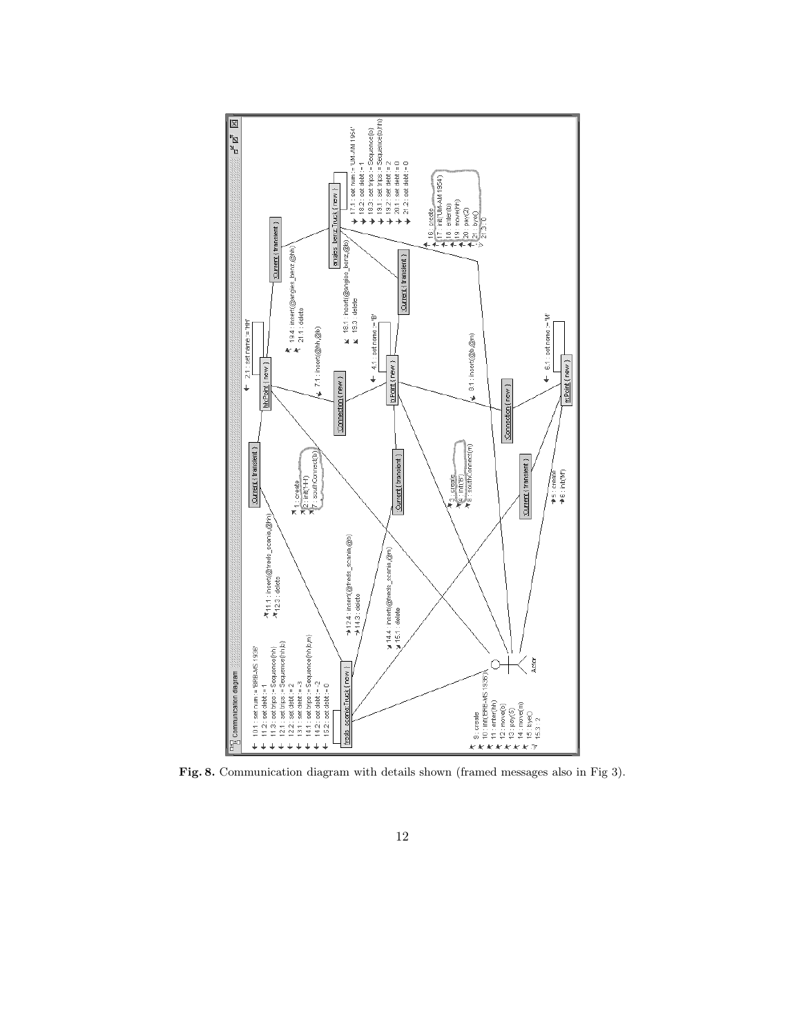

**Fig. 8.** Communication diagram with details shown (framed messages also in Fig 3).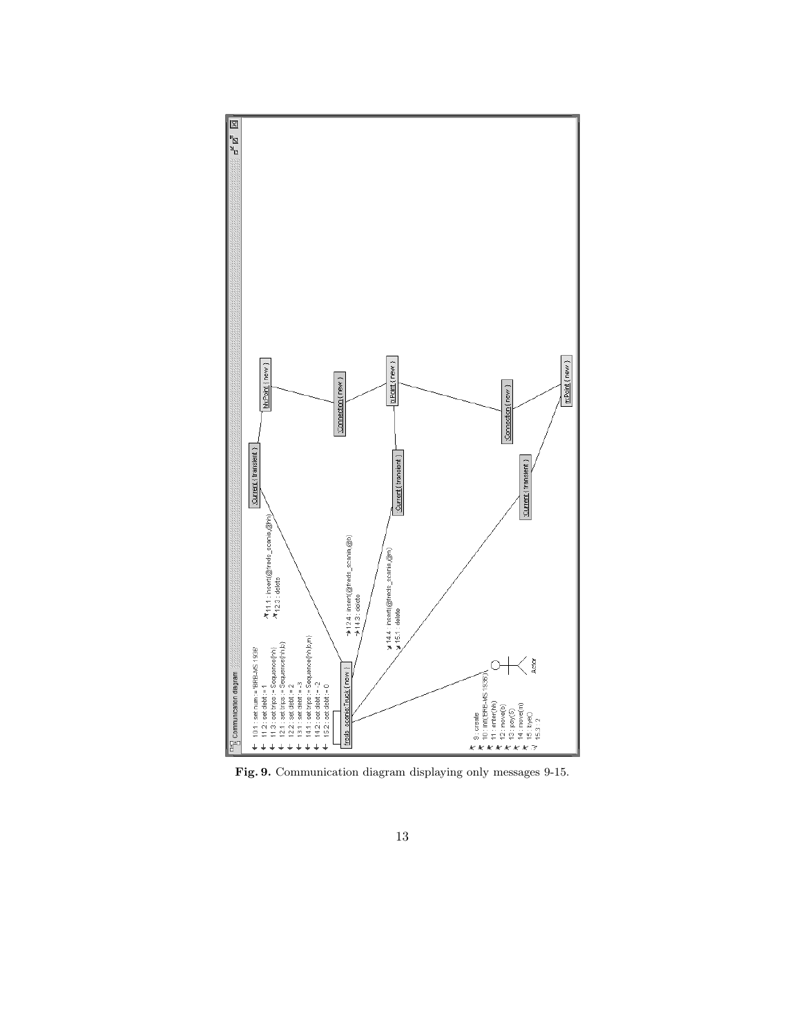

**Fig. 9.** Communication diagram displaying only messages 9-15.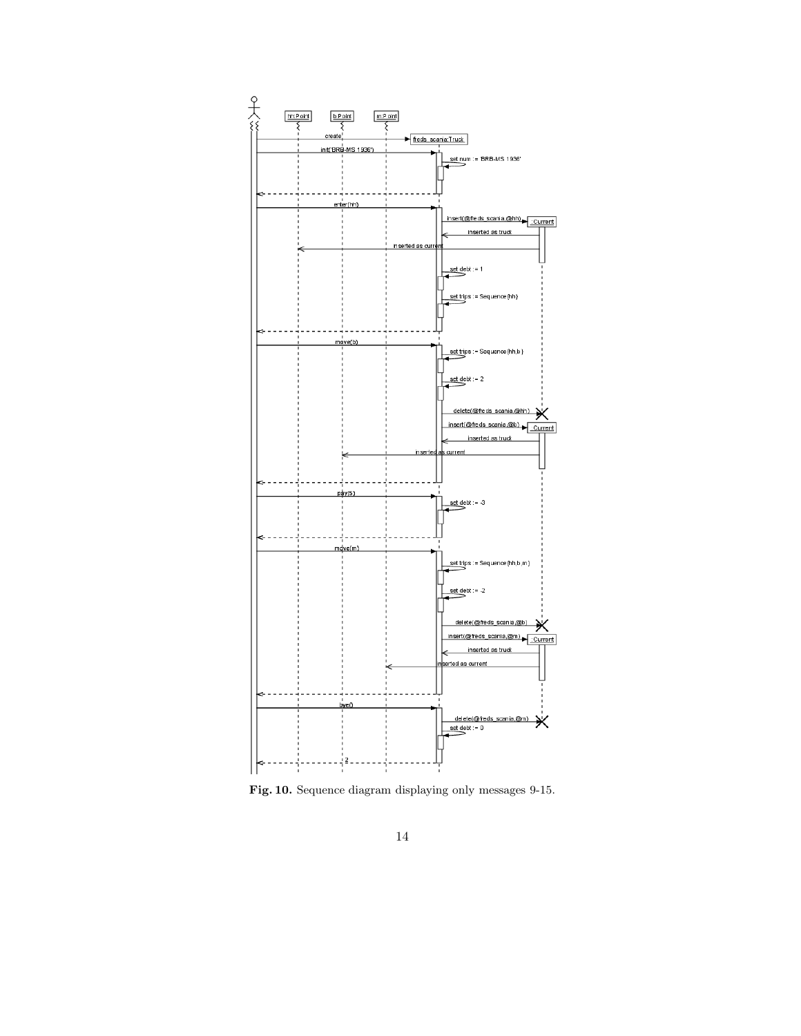

**Fig. 10.** Sequence diagram displaying only messages 9-15.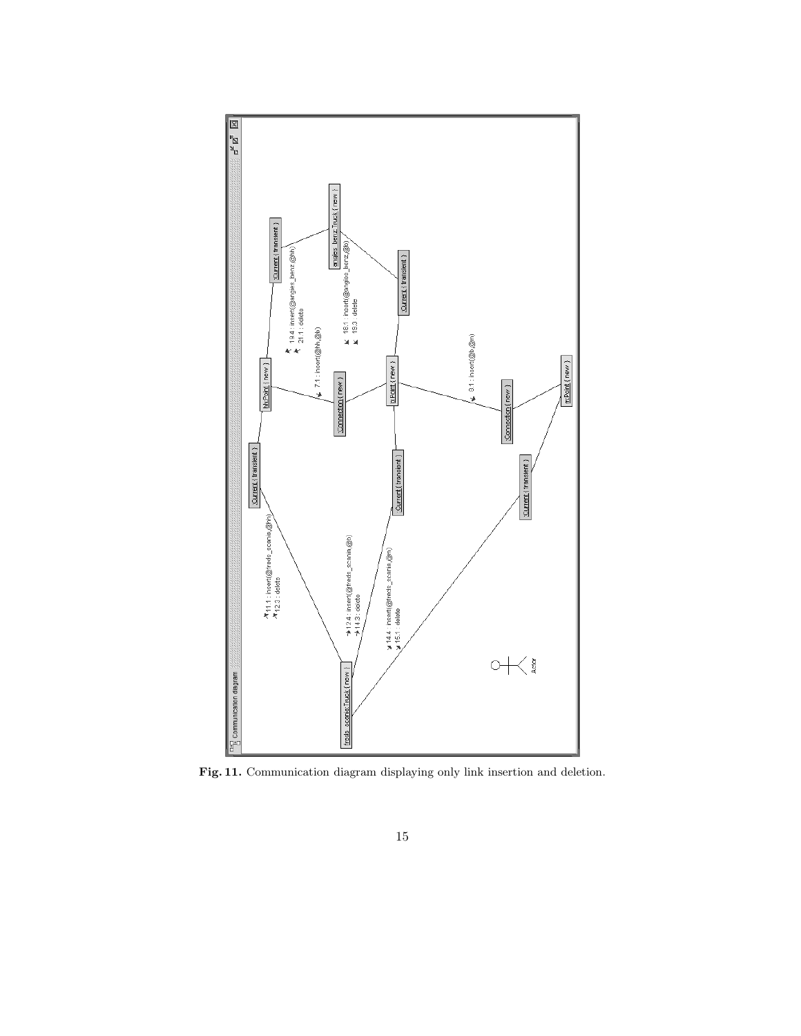

**Fig. 11.** Communication diagram displaying only link insertion and deletion.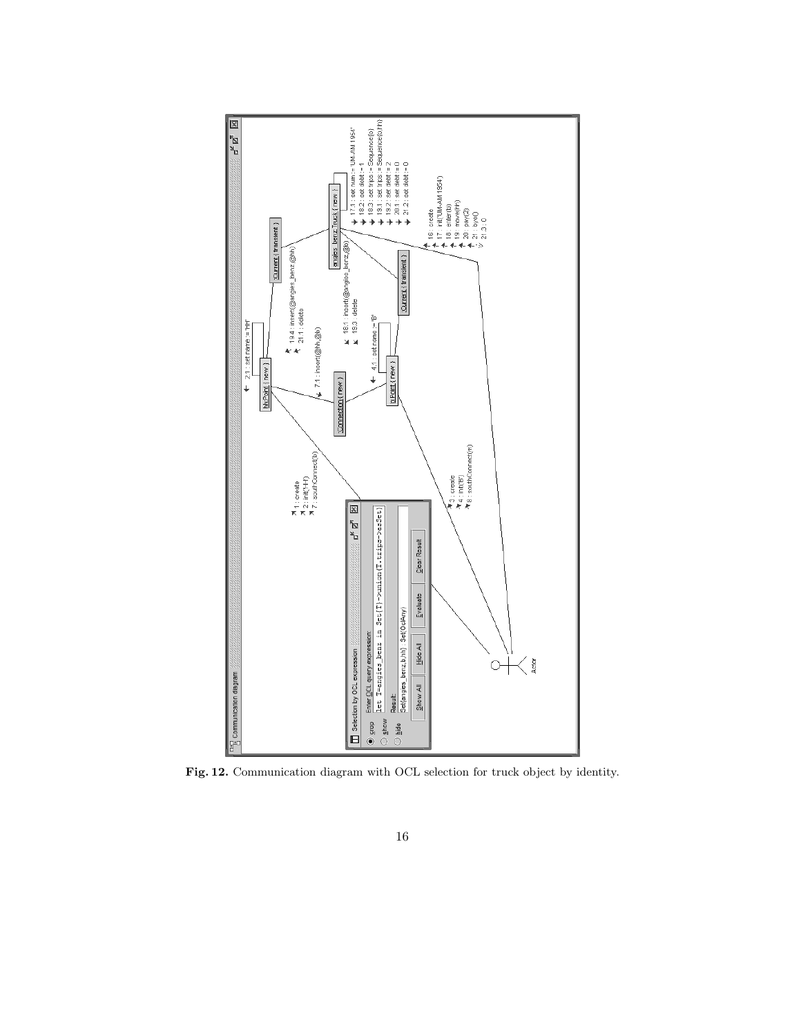

Fig. 12. Communication diagram with OCL selection for truck object by identity.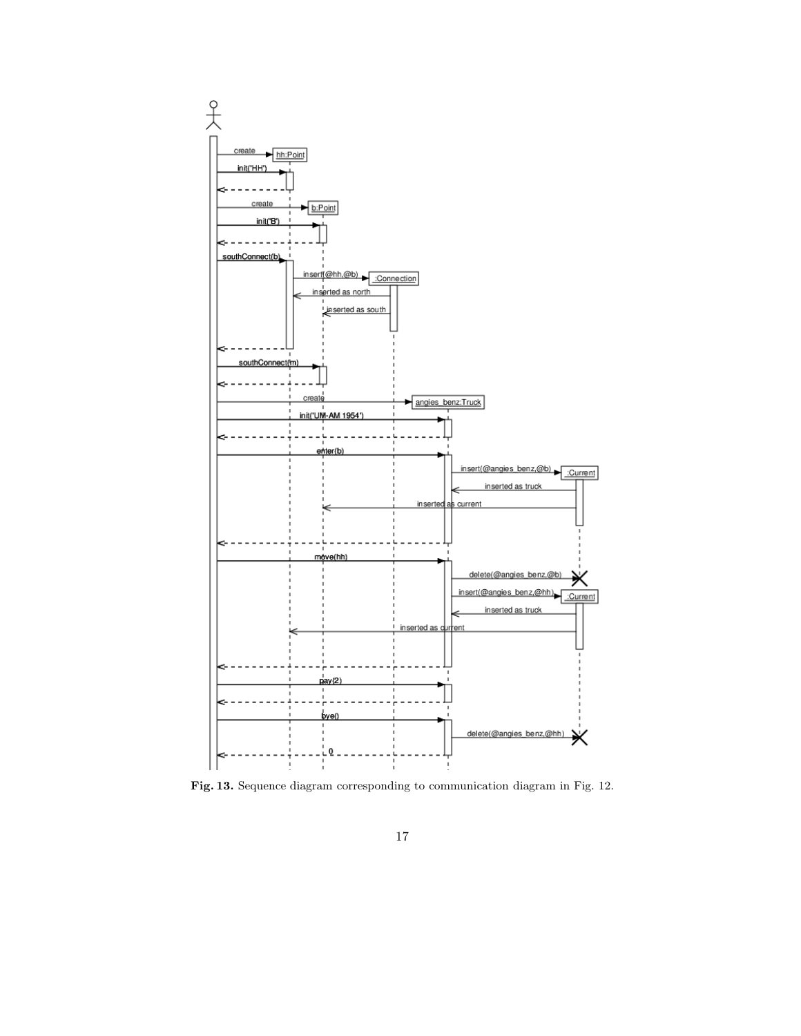

**Fig. 13.** Sequence diagram corresponding to communication diagram in Fig. 12.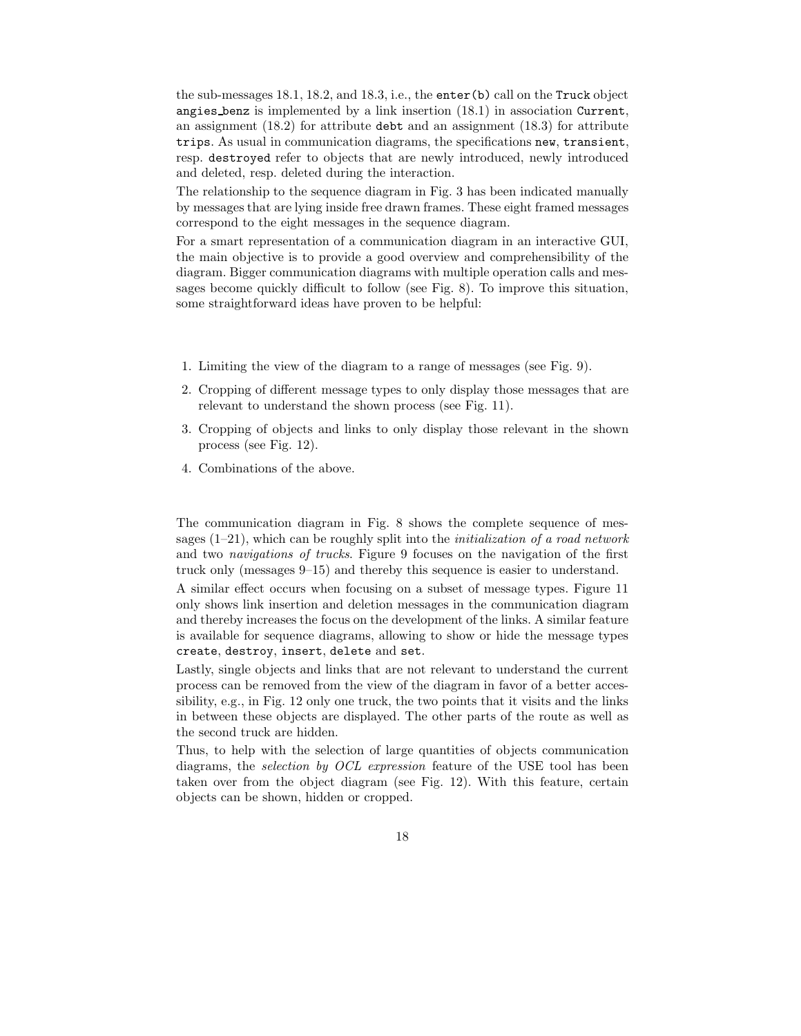the sub-messages 18.1, 18.2, and 18.3, i.e., the enter(b) call on the Truck object angies benz is implemented by a link insertion (18.1) in association Current, an assignment (18.2) for attribute debt and an assignment (18.3) for attribute trips. As usual in communication diagrams, the specifications new, transient, resp. destroyed refer to objects that are newly introduced, newly introduced and deleted, resp. deleted during the interaction.

The relationship to the sequence diagram in Fig. 3 has been indicated manually by messages that are lying inside free drawn frames. These eight framed messages correspond to the eight messages in the sequence diagram.

For a smart representation of a communication diagram in an interactive GUI, the main objective is to provide a good overview and comprehensibility of the diagram. Bigger communication diagrams with multiple operation calls and messages become quickly difficult to follow (see Fig. 8). To improve this situation, some straightforward ideas have proven to be helpful:

- 1. Limiting the view of the diagram to a range of messages (see Fig. 9).
- 2. Cropping of different message types to only display those messages that are relevant to understand the shown process (see Fig. 11).
- 3. Cropping of objects and links to only display those relevant in the shown process (see Fig. 12).
- 4. Combinations of the above.

The communication diagram in Fig. 8 shows the complete sequence of messages (1–21), which can be roughly split into the *initialization of a road network* and two *navigations of trucks*. Figure 9 focuses on the navigation of the first truck only (messages 9–15) and thereby this sequence is easier to understand.

A similar effect occurs when focusing on a subset of message types. Figure 11 only shows link insertion and deletion messages in the communication diagram and thereby increases the focus on the development of the links. A similar feature is available for sequence diagrams, allowing to show or hide the message types create, destroy, insert, delete and set.

Lastly, single objects and links that are not relevant to understand the current process can be removed from the view of the diagram in favor of a better accessibility, e.g., in Fig. 12 only one truck, the two points that it visits and the links in between these objects are displayed. The other parts of the route as well as the second truck are hidden.

Thus, to help with the selection of large quantities of objects communication diagrams, the *selection by OCL expression* feature of the USE tool has been taken over from the object diagram (see Fig. 12). With this feature, certain objects can be shown, hidden or cropped.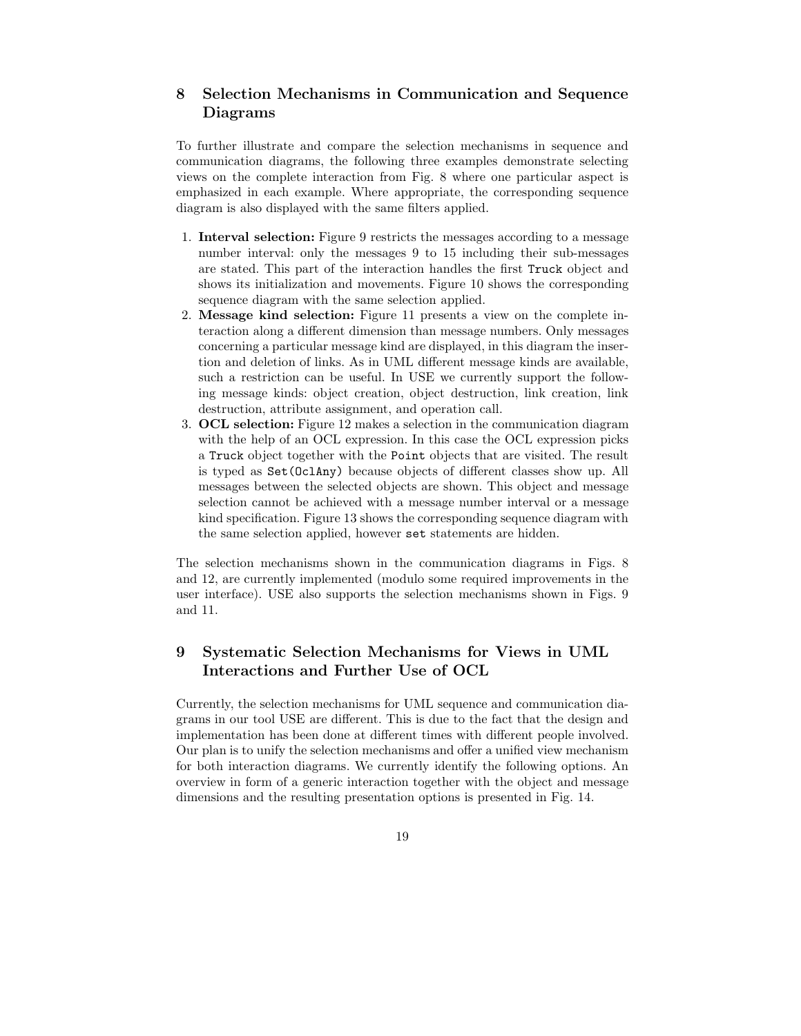### **8 Selection Mechanisms in Communication and Sequence Diagrams**

To further illustrate and compare the selection mechanisms in sequence and communication diagrams, the following three examples demonstrate selecting views on the complete interaction from Fig. 8 where one particular aspect is emphasized in each example. Where appropriate, the corresponding sequence diagram is also displayed with the same filters applied.

- 1. **Interval selection:** Figure 9 restricts the messages according to a message number interval: only the messages 9 to 15 including their sub-messages are stated. This part of the interaction handles the first Truck object and shows its initialization and movements. Figure 10 shows the corresponding sequence diagram with the same selection applied.
- 2. **Message kind selection:** Figure 11 presents a view on the complete interaction along a different dimension than message numbers. Only messages concerning a particular message kind are displayed, in this diagram the insertion and deletion of links. As in UML different message kinds are available, such a restriction can be useful. In USE we currently support the following message kinds: object creation, object destruction, link creation, link destruction, attribute assignment, and operation call.
- 3. **OCL selection:** Figure 12 makes a selection in the communication diagram with the help of an OCL expression. In this case the OCL expression picks a Truck object together with the Point objects that are visited. The result is typed as Set(OclAny) because objects of different classes show up. All messages between the selected objects are shown. This object and message selection cannot be achieved with a message number interval or a message kind specification. Figure 13 shows the corresponding sequence diagram with the same selection applied, however set statements are hidden.

The selection mechanisms shown in the communication diagrams in Figs. 8 and 12, are currently implemented (modulo some required improvements in the user interface). USE also supports the selection mechanisms shown in Figs. 9 and 11.

# **9 Systematic Selection Mechanisms for Views in UML Interactions and Further Use of OCL**

Currently, the selection mechanisms for UML sequence and communication diagrams in our tool USE are different. This is due to the fact that the design and implementation has been done at different times with different people involved. Our plan is to unify the selection mechanisms and offer a unified view mechanism for both interaction diagrams. We currently identify the following options. An overview in form of a generic interaction together with the object and message dimensions and the resulting presentation options is presented in Fig. 14.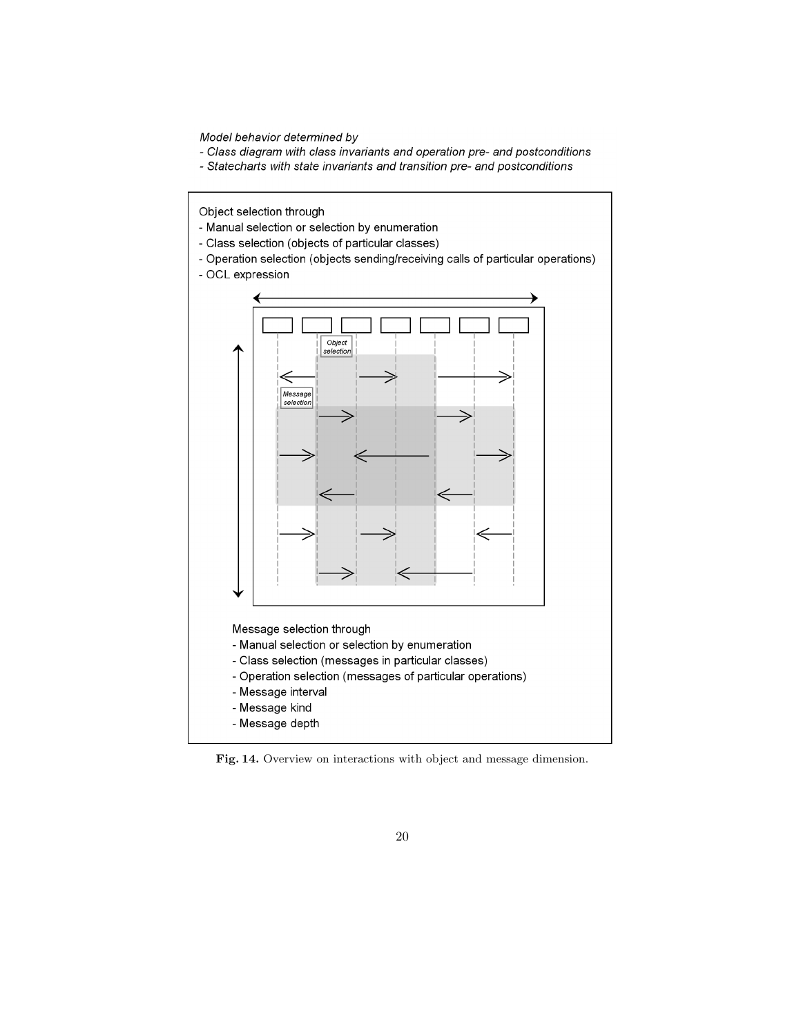Model behavior determined by

- Class diagram with class invariants and operation pre- and postconditions
- Statecharts with state invariants and transition pre- and postconditions

Object selection through

- Manual selection or selection by enumeration
- Class selection (objects of particular classes)
- Operation selection (objects sending/receiving calls of particular operations)
- OCL expression



**Fig. 14.** Overview on interactions with object and message dimension.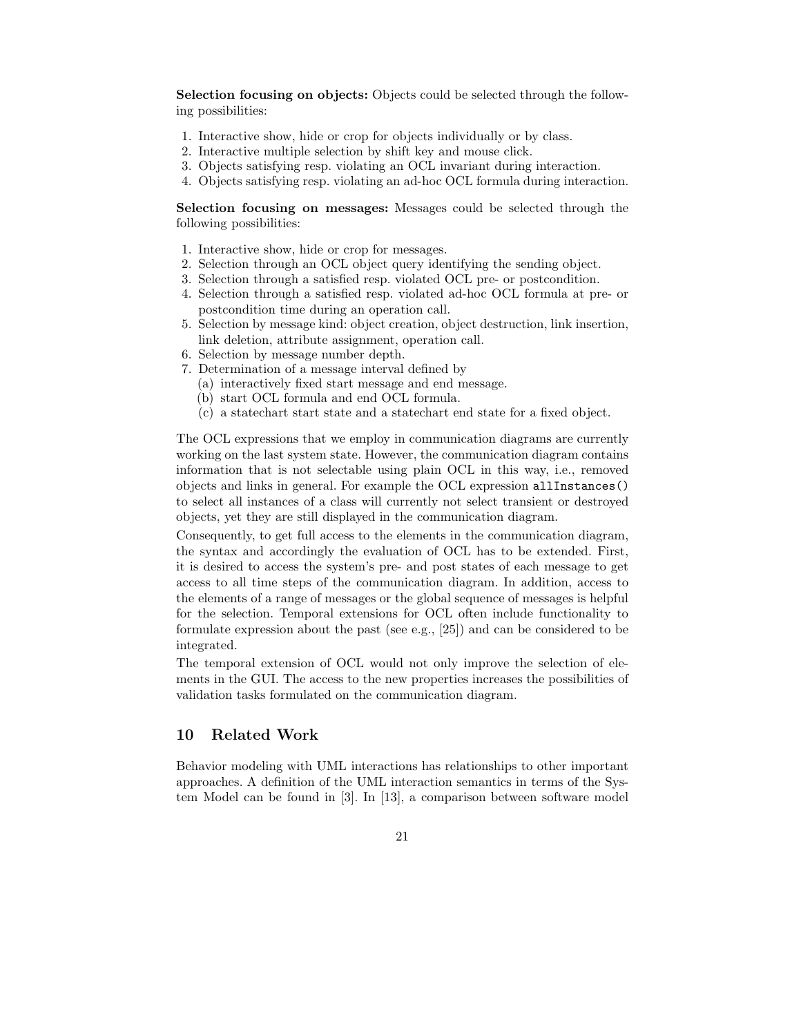**Selection focusing on objects:** Objects could be selected through the following possibilities:

- 1. Interactive show, hide or crop for objects individually or by class.
- 2. Interactive multiple selection by shift key and mouse click.
- 3. Objects satisfying resp. violating an OCL invariant during interaction.
- 4. Objects satisfying resp. violating an ad-hoc OCL formula during interaction.

**Selection focusing on messages:** Messages could be selected through the following possibilities:

- 1. Interactive show, hide or crop for messages.
- 2. Selection through an OCL object query identifying the sending object.
- 3. Selection through a satisfied resp. violated OCL pre- or postcondition.
- 4. Selection through a satisfied resp. violated ad-hoc OCL formula at pre- or postcondition time during an operation call.
- 5. Selection by message kind: object creation, object destruction, link insertion, link deletion, attribute assignment, operation call.
- 6. Selection by message number depth.
- 7. Determination of a message interval defined by
	- (a) interactively fixed start message and end message.
	- (b) start OCL formula and end OCL formula.
	- (c) a statechart start state and a statechart end state for a fixed object.

The OCL expressions that we employ in communication diagrams are currently working on the last system state. However, the communication diagram contains information that is not selectable using plain OCL in this way, i.e., removed objects and links in general. For example the OCL expression allInstances() to select all instances of a class will currently not select transient or destroyed objects, yet they are still displayed in the communication diagram.

Consequently, to get full access to the elements in the communication diagram, the syntax and accordingly the evaluation of OCL has to be extended. First, it is desired to access the system's pre- and post states of each message to get access to all time steps of the communication diagram. In addition, access to the elements of a range of messages or the global sequence of messages is helpful for the selection. Temporal extensions for OCL often include functionality to formulate expression about the past (see e.g., [25]) and can be considered to be integrated.

The temporal extension of OCL would not only improve the selection of elements in the GUI. The access to the new properties increases the possibilities of validation tasks formulated on the communication diagram.

### **10 Related Work**

Behavior modeling with UML interactions has relationships to other important approaches. A definition of the UML interaction semantics in terms of the System Model can be found in [3]. In [13], a comparison between software model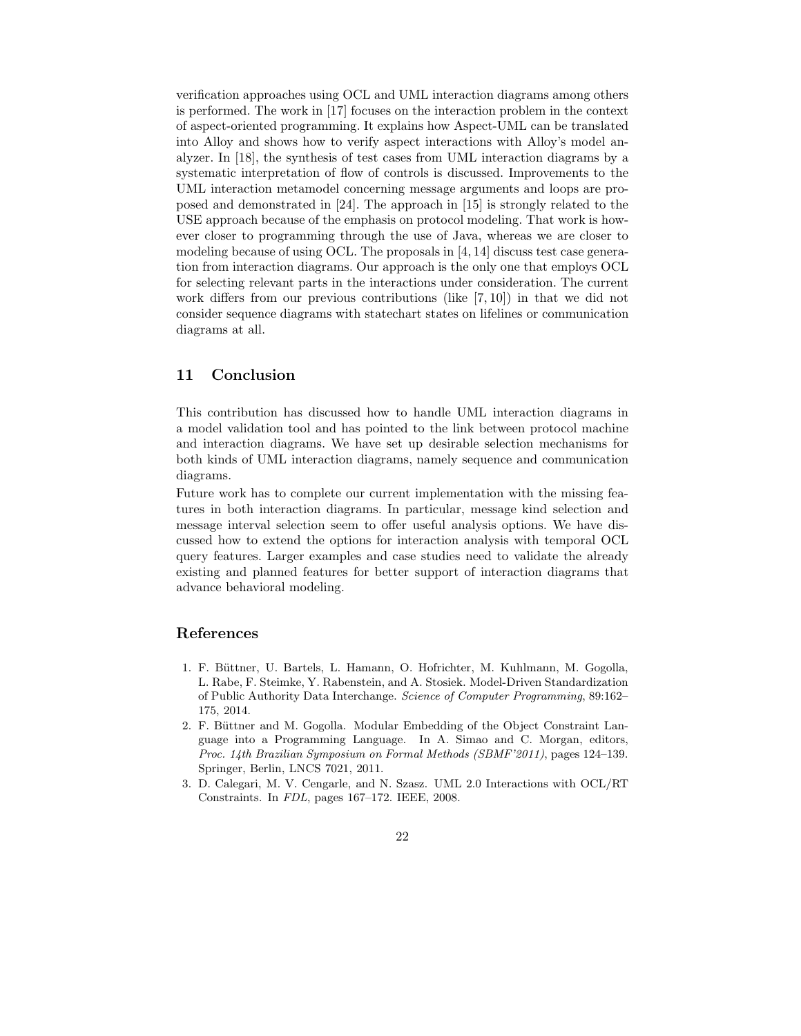verification approaches using OCL and UML interaction diagrams among others is performed. The work in [17] focuses on the interaction problem in the context of aspect-oriented programming. It explains how Aspect-UML can be translated into Alloy and shows how to verify aspect interactions with Alloy's model analyzer. In [18], the synthesis of test cases from UML interaction diagrams by a systematic interpretation of flow of controls is discussed. Improvements to the UML interaction metamodel concerning message arguments and loops are proposed and demonstrated in [24]. The approach in [15] is strongly related to the USE approach because of the emphasis on protocol modeling. That work is however closer to programming through the use of Java, whereas we are closer to modeling because of using OCL. The proposals in  $[4, 14]$  discuss test case generation from interaction diagrams. Our approach is the only one that employs OCL for selecting relevant parts in the interactions under consideration. The current work differs from our previous contributions (like [7, 10]) in that we did not consider sequence diagrams with statechart states on lifelines or communication diagrams at all.

#### **11 Conclusion**

This contribution has discussed how to handle UML interaction diagrams in a model validation tool and has pointed to the link between protocol machine and interaction diagrams. We have set up desirable selection mechanisms for both kinds of UML interaction diagrams, namely sequence and communication diagrams.

Future work has to complete our current implementation with the missing features in both interaction diagrams. In particular, message kind selection and message interval selection seem to offer useful analysis options. We have discussed how to extend the options for interaction analysis with temporal OCL query features. Larger examples and case studies need to validate the already existing and planned features for better support of interaction diagrams that advance behavioral modeling.

#### **References**

- 1. F. Büttner, U. Bartels, L. Hamann, O. Hofrichter, M. Kuhlmann, M. Gogolla, L. Rabe, F. Steimke, Y. Rabenstein, and A. Stosiek. Model-Driven Standardization of Public Authority Data Interchange. *Science of Computer Programming*, 89:162– 175, 2014.
- 2. F. Büttner and M. Gogolla. Modular Embedding of the Object Constraint Language into a Programming Language. In A. Simao and C. Morgan, editors, *Proc. 14th Brazilian Symposium on Formal Methods (SBMF'2011)*, pages 124–139. Springer, Berlin, LNCS 7021, 2011.
- 3. D. Calegari, M. V. Cengarle, and N. Szasz. UML 2.0 Interactions with OCL/RT Constraints. In *FDL*, pages 167–172. IEEE, 2008.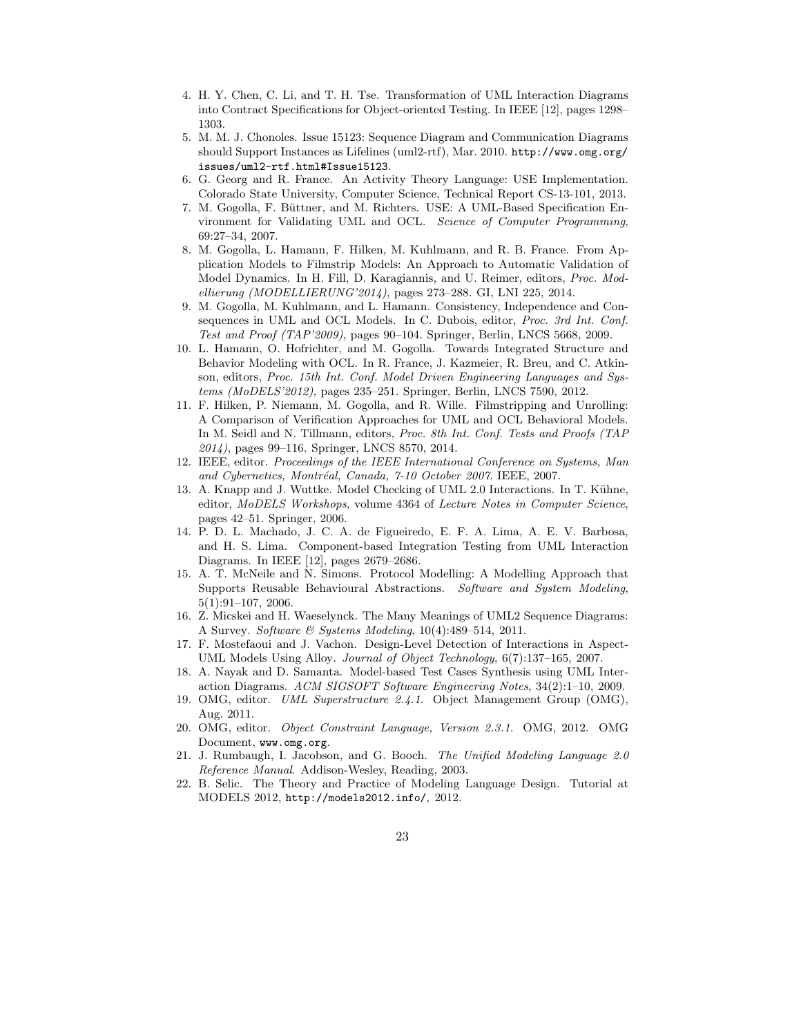- 4. H. Y. Chen, C. Li, and T. H. Tse. Transformation of UML Interaction Diagrams into Contract Specifications for Object-oriented Testing. In IEEE [12], pages 1298– 1303.
- 5. M. M. J. Chonoles. Issue 15123: Sequence Diagram and Communication Diagrams should Support Instances as Lifelines (uml2-rtf), Mar. 2010. http://www.omg.org/ issues/uml2-rtf.html#Issue15123.
- 6. G. Georg and R. France. An Activity Theory Language: USE Implementation. Colorado State University, Computer Science, Technical Report CS-13-101, 2013.
- 7. M. Gogolla, F. Büttner, and M. Richters. USE: A UML-Based Specification Environment for Validating UML and OCL. *Science of Computer Programming*, 69:27–34, 2007.
- 8. M. Gogolla, L. Hamann, F. Hilken, M. Kuhlmann, and R. B. France. From Application Models to Filmstrip Models: An Approach to Automatic Validation of Model Dynamics. In H. Fill, D. Karagiannis, and U. Reimer, editors, *Proc. Modellierung (MODELLIERUNG'2014)*, pages 273–288. GI, LNI 225, 2014.
- 9. M. Gogolla, M. Kuhlmann, and L. Hamann. Consistency, Independence and Consequences in UML and OCL Models. In C. Dubois, editor, *Proc. 3rd Int. Conf. Test and Proof (TAP'2009)*, pages 90–104. Springer, Berlin, LNCS 5668, 2009.
- 10. L. Hamann, O. Hofrichter, and M. Gogolla. Towards Integrated Structure and Behavior Modeling with OCL. In R. France, J. Kazmeier, R. Breu, and C. Atkinson, editors, *Proc. 15th Int. Conf. Model Driven Engineering Languages and Systems (MoDELS'2012)*, pages 235–251. Springer, Berlin, LNCS 7590, 2012.
- 11. F. Hilken, P. Niemann, M. Gogolla, and R. Wille. Filmstripping and Unrolling: A Comparison of Verification Approaches for UML and OCL Behavioral Models. In M. Seidl and N. Tillmann, editors, *Proc. 8th Int. Conf. Tests and Proofs (TAP 2014)*, pages 99–116. Springer, LNCS 8570, 2014.
- 12. IEEE, editor. *Proceedings of the IEEE International Conference on Systems, Man and Cybernetics, Montr´eal, Canada, 7-10 October 2007*. IEEE, 2007.
- 13. A. Knapp and J. Wuttke. Model Checking of UML 2.0 Interactions. In T. Kühne, editor, *MoDELS Workshops*, volume 4364 of *Lecture Notes in Computer Science*, pages 42–51. Springer, 2006.
- 14. P. D. L. Machado, J. C. A. de Figueiredo, E. F. A. Lima, A. E. V. Barbosa, and H. S. Lima. Component-based Integration Testing from UML Interaction Diagrams. In IEEE [12], pages 2679–2686.
- 15. A. T. McNeile and N. Simons. Protocol Modelling: A Modelling Approach that Supports Reusable Behavioural Abstractions. *Software and System Modeling*, 5(1):91–107, 2006.
- 16. Z. Micskei and H. Waeselynck. The Many Meanings of UML2 Sequence Diagrams: A Survey. *Software & Systems Modeling*, 10(4):489–514, 2011.
- 17. F. Mostefaoui and J. Vachon. Design-Level Detection of Interactions in Aspect-UML Models Using Alloy. *Journal of Object Technology*, 6(7):137–165, 2007.
- 18. A. Nayak and D. Samanta. Model-based Test Cases Synthesis using UML Interaction Diagrams. *ACM SIGSOFT Software Engineering Notes*, 34(2):1–10, 2009.
- 19. OMG, editor. *UML Superstructure 2.4.1*. Object Management Group (OMG), Aug. 2011.
- 20. OMG, editor. *Object Constraint Language, Version 2.3.1*. OMG, 2012. OMG Document, www.omg.org.
- 21. J. Rumbaugh, I. Jacobson, and G. Booch. *The Unified Modeling Language 2.0 Reference Manual*. Addison-Wesley, Reading, 2003.
- 22. B. Selic. The Theory and Practice of Modeling Language Design. Tutorial at MODELS 2012, http://models2012.info/, 2012.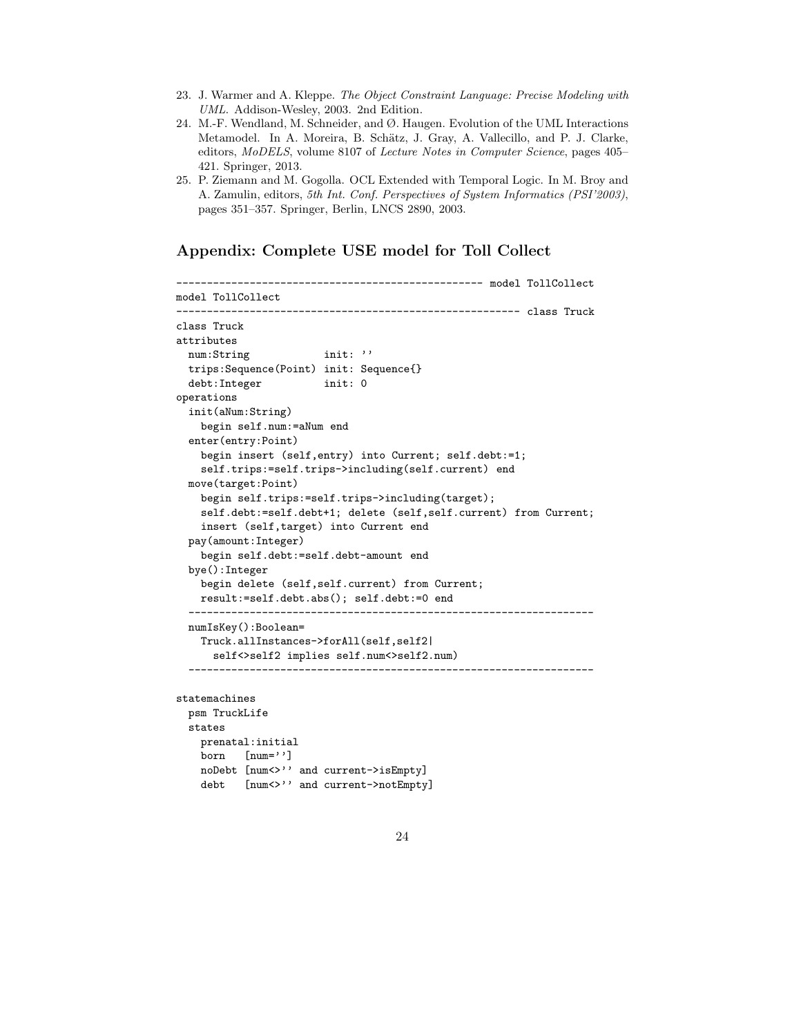- 23. J. Warmer and A. Kleppe. *The Object Constraint Language: Precise Modeling with UML*. Addison-Wesley, 2003. 2nd Edition.
- 24. M.-F. Wendland, M. Schneider, and Ø. Haugen. Evolution of the UML Interactions Metamodel. In A. Moreira, B. Schätz, J. Gray, A. Vallecillo, and P. J. Clarke, editors, *MoDELS*, volume 8107 of *Lecture Notes in Computer Science*, pages 405– 421. Springer, 2013.
- 25. P. Ziemann and M. Gogolla. OCL Extended with Temporal Logic. In M. Broy and A. Zamulin, editors, *5th Int. Conf. Perspectives of System Informatics (PSI'2003)*, pages 351–357. Springer, Berlin, LNCS 2890, 2003.

# **Appendix: Complete USE model for Toll Collect**

```
-------------------- model TollCollect
model TollCollect
   -------------------------------------------------------- class Truck
class Truck
attributes
 num:String init: ''
 trips:Sequence(Point) init: Sequence{}
 debt:Integer init: 0
operations
  init(aNum:String)
   begin self.num:=aNum end
  enter(entry:Point)
    begin insert (self,entry) into Current; self.debt:=1;
    self.trips:=self.trips->including(self.current) end
 move(target:Point)
    begin self.trips:=self.trips->including(target);
    self.debt:=self.debt+1; delete (self,self.current) from Current;
    insert (self,target) into Current end
  pay(amount:Integer)
    begin self.debt:=self.debt-amount end
  bye():Integer
    begin delete (self,self.current) from Current;
    result:=self.debt.abs(); self.debt:=0 end
                                                    ------------------------------------------------------------------
 numIsKey():Boolean=
    Truck.allInstances->forAll(self,self2|
      self<>self2 implies self.num<>self2.num)
   ------------------------------------------------------------------
```

```
statemachines
 psm TruckLife
 states
   prenatal:initial
   born [num='']
   noDebt [num<>'' and current->isEmpty]
   debt [num<>'' and current->notEmpty]
```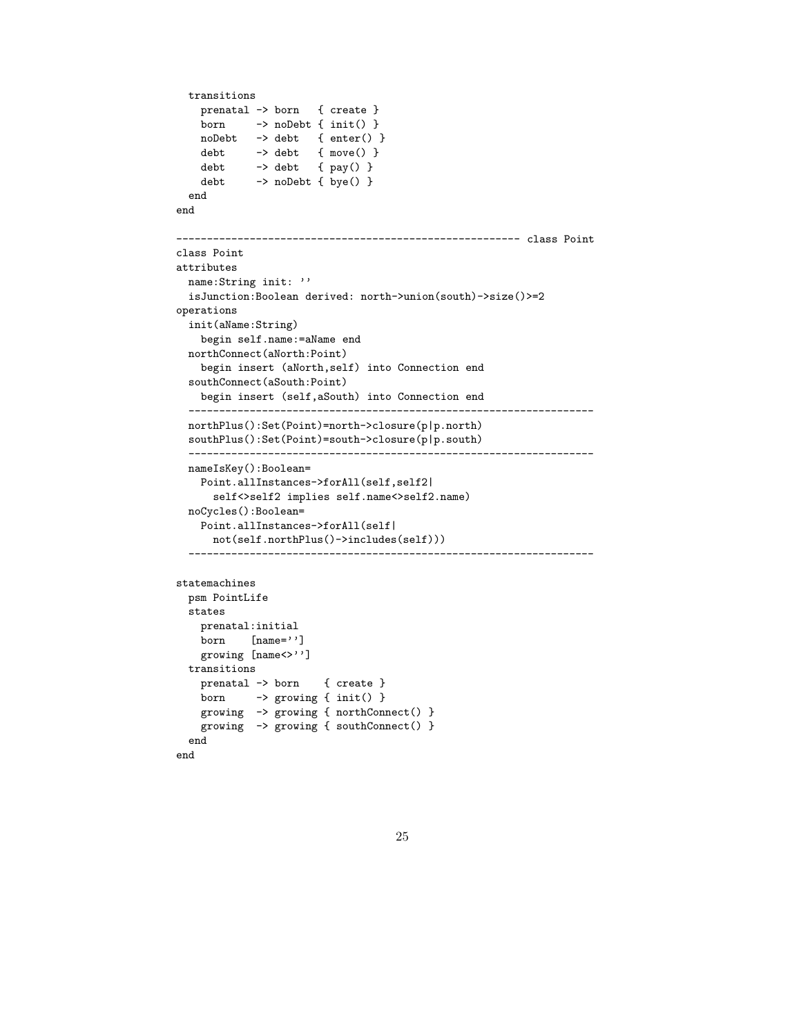```
transitions
   prenatal -> born { create }
   born -> noDebt { init() }
   noDebt -> debt { enter() }
   debt \rightarrow debt { move() }
   debt \rightarrow debt { pay() }
   debt -> noDebt { bye() }
 end
end
         -------------------------------------------------------- class Point
class Point
attributes
 name:String init: ''
  isJunction:Boolean derived: north->union(south)->size()>=2
operations
 init(aName:String)
   begin self.name:=aName end
 northConnect(aNorth:Point)
   begin insert (aNorth,self) into Connection end
 southConnect(aSouth:Point)
   begin insert (self,aSouth) into Connection end
        ------------------------------------------------------------------
 northPlus():Set(Point)=north->closure(p|p.north)
 southPlus():Set(Point)=south->closure(p|p.south)
  ------------------------------------------------------------------
 nameIsKey():Boolean=
   Point.allInstances->forAll(self,self2|
     self<>self2 implies self.name<>self2.name)
 noCycles():Boolean=
   Point.allInstances->forAll(self|
     not(self.northPlus()->includes(self)))
           ------------------------------------------------------------------
```

```
statemachines
 psm PointLife
 states
   prenatal:initial
   born [name='']
   growing [name<>'']
 transitions
   prenatal -> born { create }
   born -> growing { init() }
   growing -> growing { northConnect() }
   growing -> growing { southConnect() }
 end
end
```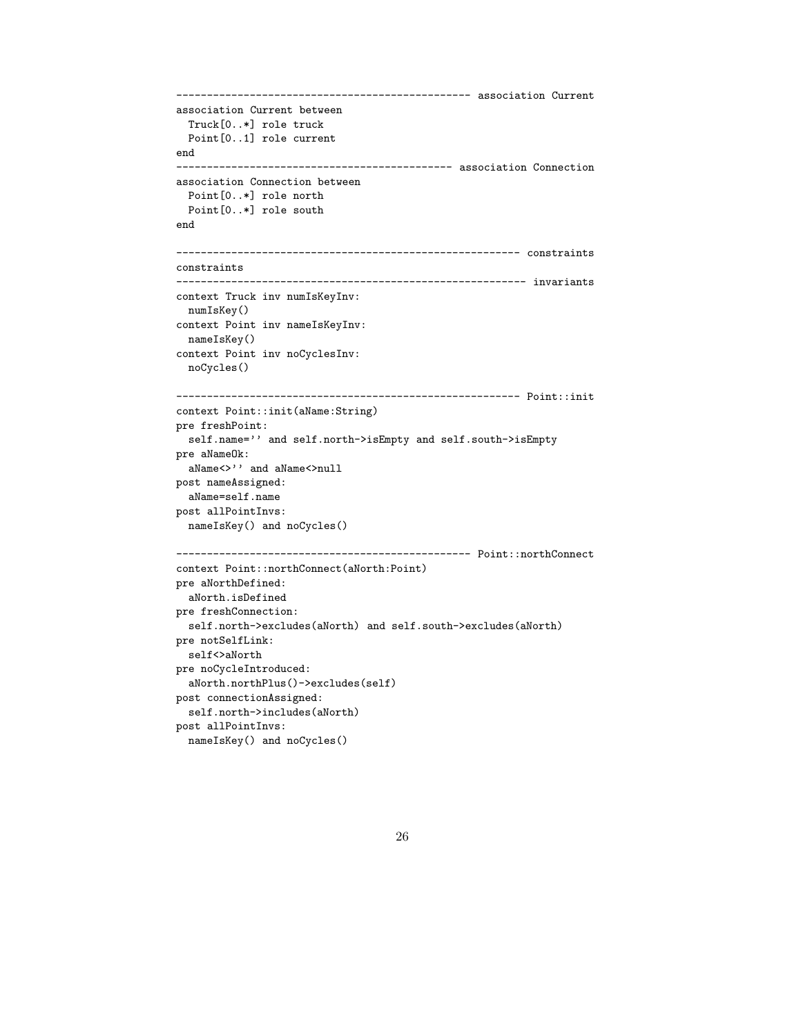```
------------------------------------------------ association Current
association Current between
  Truck[0..*] role truck
  Point[0..1] role current
end
                              ---------------- association Connection
association Connection between
 Point[0..*] role north
  Point[0..*] role south
end
 -------------------------------------------------------- constraints
constraints
--------------------------------------------------------- invariants
context Truck inv numIsKeyInv:
  numIsKey()
context Point inv nameIsKeyInv:
  nameIsKey()
context Point inv noCyclesInv:
  noCycles()
-------------------------------------------------------- Point::init
context Point::init(aName:String)
pre freshPoint:
  self.name='' and self.north->isEmpty and self.south->isEmpty
pre aNameOk:
  aName<>'' and aName<>null
post nameAssigned:
  aName=self.name
post allPointInvs:
  nameIsKey() and noCycles()
  ------------------------------------------------ Point::northConnect
context Point::northConnect(aNorth:Point)
pre aNorthDefined:
  aNorth.isDefined
pre freshConnection:
  self.north->excludes(aNorth) and self.south->excludes(aNorth)
pre notSelfLink:
  self<>aNorth
pre noCycleIntroduced:
  aNorth.northPlus()->excludes(self)
post connectionAssigned:
  self.north->includes(aNorth)
post allPointInvs:
  nameIsKey() and noCycles()
```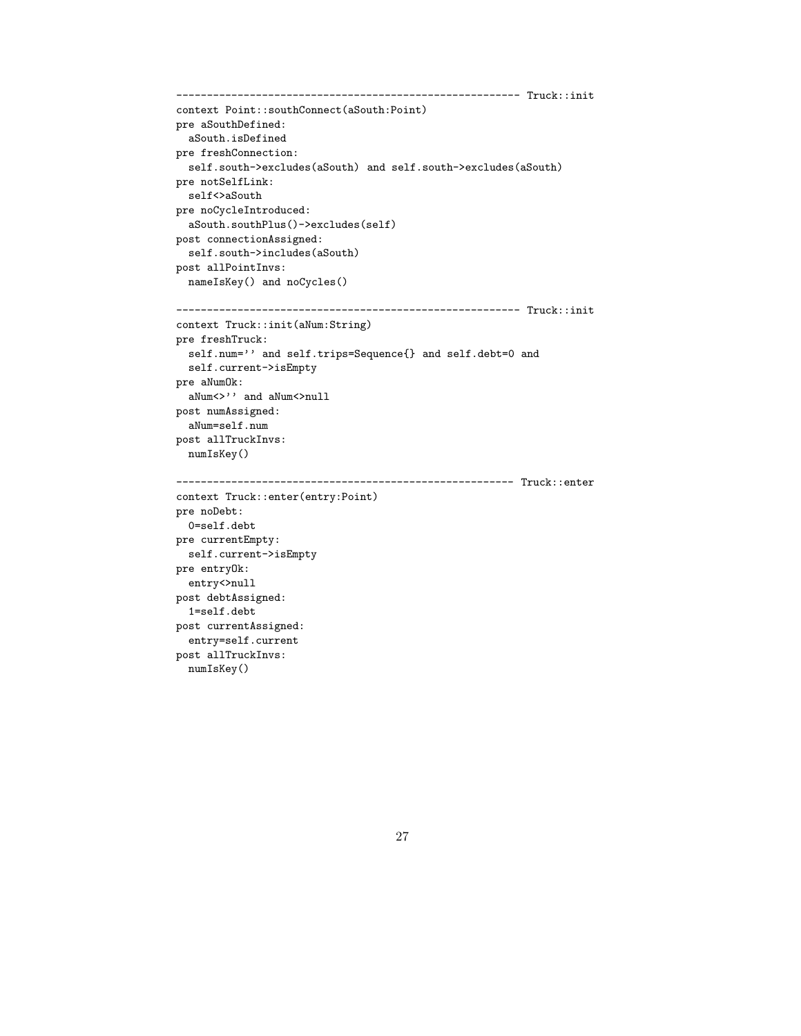```
-------------------------------------------------------- Truck::init
context Point::southConnect(aSouth:Point)
pre aSouthDefined:
  aSouth.isDefined
pre freshConnection:
  self.south->excludes(aSouth) and self.south->excludes(aSouth)
pre notSelfLink:
  self<>aSouth
pre noCycleIntroduced:
  aSouth.southPlus()->excludes(self)
post connectionAssigned:
  self.south->includes(aSouth)
post allPointInvs:
  nameIsKey() and noCycles()
 -------------------------------------------------------- Truck::init
context Truck::init(aNum:String)
pre freshTruck:
  self.num='' and self.trips=Sequence{} and self.debt=0 and
  self.current->isEmpty
pre aNumOk:
  aNum<>'' and aNum<>null
post numAssigned:
  aNum=self.num
post allTruckInvs:
  numIsKey()
   ------------------------------------------------------- Truck::enter
context Truck::enter(entry:Point)
pre noDebt:
  0=self.debt
pre currentEmpty:
  self.current->isEmpty
pre entryOk:
  entry<>null
post debtAssigned:
  1=self.debt
post currentAssigned:
  entry=self.current
post allTruckInvs:
  numIsKey()
```